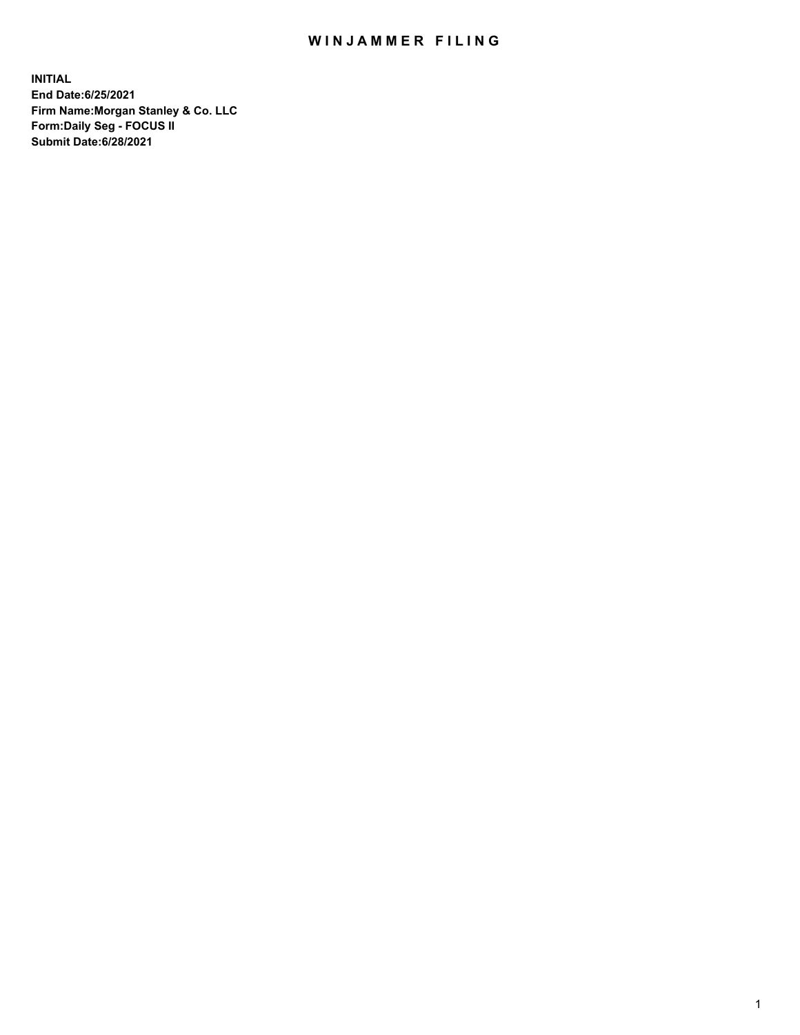## WIN JAMMER FILING

**INITIAL End Date:6/25/2021 Firm Name:Morgan Stanley & Co. LLC Form:Daily Seg - FOCUS II Submit Date:6/28/2021**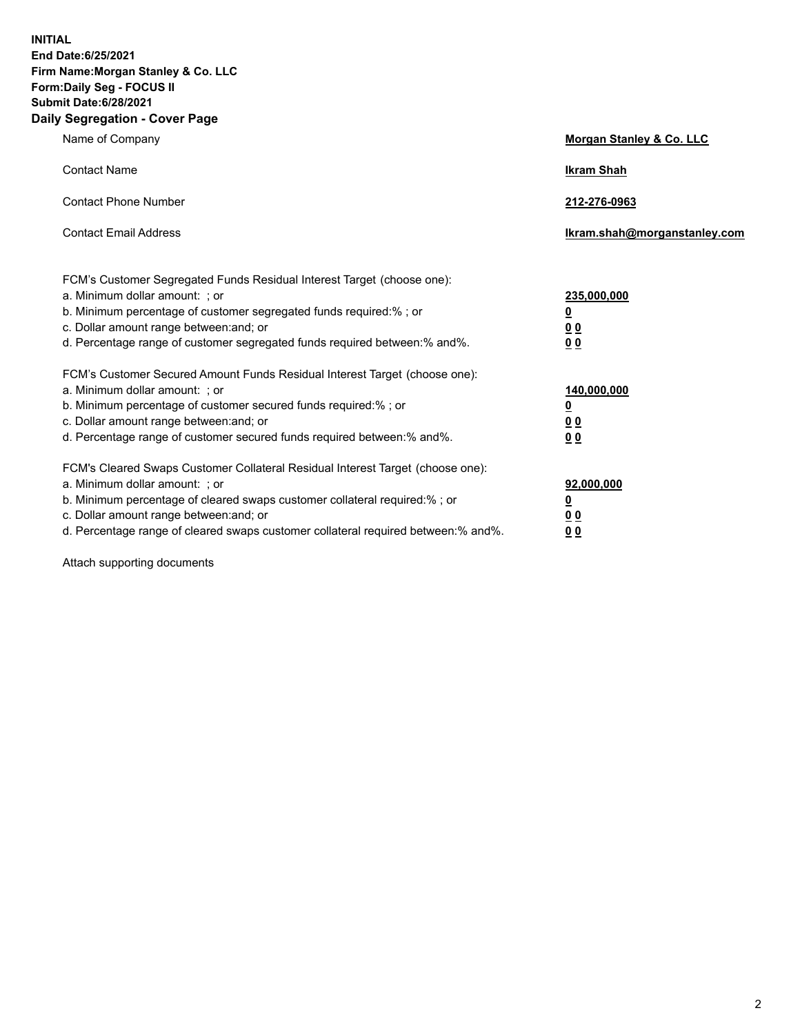**INITIAL End Date:6/25/2021 Firm Name:Morgan Stanley & Co. LLC Form:Daily Seg - FOCUS II Submit Date:6/28/2021 Daily Segregation - Cover Page**

| Name of Company                                                                                                                                                                                                                                                                                                                | Morgan Stanley & Co. LLC                               |
|--------------------------------------------------------------------------------------------------------------------------------------------------------------------------------------------------------------------------------------------------------------------------------------------------------------------------------|--------------------------------------------------------|
| <b>Contact Name</b>                                                                                                                                                                                                                                                                                                            | <b>Ikram Shah</b>                                      |
| <b>Contact Phone Number</b>                                                                                                                                                                                                                                                                                                    | 212-276-0963                                           |
| <b>Contact Email Address</b>                                                                                                                                                                                                                                                                                                   | Ikram.shah@morganstanley.com                           |
| FCM's Customer Segregated Funds Residual Interest Target (choose one):<br>a. Minimum dollar amount: ; or<br>b. Minimum percentage of customer segregated funds required:% ; or<br>c. Dollar amount range between: and; or<br>d. Percentage range of customer segregated funds required between: % and %.                       | 235,000,000<br><u>0</u><br>00<br>0 <sub>0</sub>        |
| FCM's Customer Secured Amount Funds Residual Interest Target (choose one):<br>a. Minimum dollar amount: ; or<br>b. Minimum percentage of customer secured funds required:% ; or<br>c. Dollar amount range between: and; or<br>d. Percentage range of customer secured funds required between:% and%.                           | 140,000,000<br><u>0</u><br><u>00</u><br>0 <sub>0</sub> |
| FCM's Cleared Swaps Customer Collateral Residual Interest Target (choose one):<br>a. Minimum dollar amount: ; or<br>b. Minimum percentage of cleared swaps customer collateral required:% ; or<br>c. Dollar amount range between: and; or<br>d. Percentage range of cleared swaps customer collateral required between:% and%. | 92,000,000<br><u>0</u><br><u>00</u><br>00              |

Attach supporting documents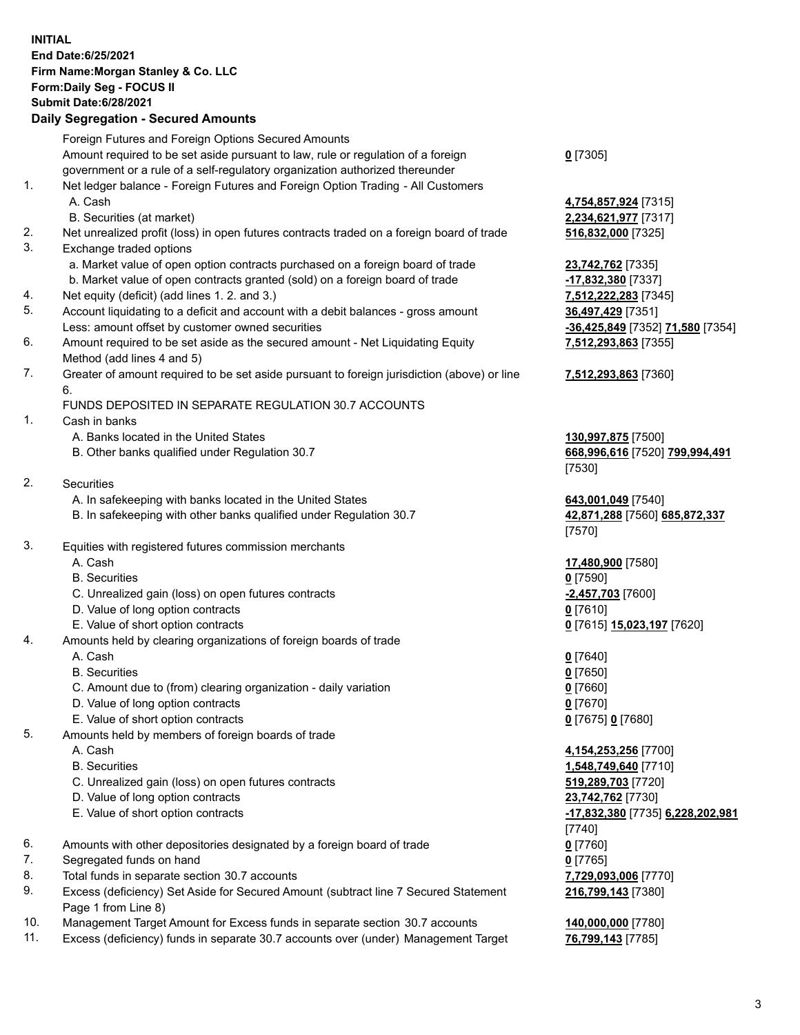## **INITIAL End Date:6/25/2021 Firm Name:Morgan Stanley & Co. LLC Form:Daily Seg - FOCUS II Submit Date:6/28/2021**

## **Daily Segregation - Secured Amounts**

|    | Foreign Futures and Foreign Options Secured Amounts                                               |                                            |
|----|---------------------------------------------------------------------------------------------------|--------------------------------------------|
|    | Amount required to be set aside pursuant to law, rule or regulation of a foreign                  | $0$ [7305]                                 |
|    | government or a rule of a self-regulatory organization authorized thereunder                      |                                            |
| 1. | Net ledger balance - Foreign Futures and Foreign Option Trading - All Customers                   |                                            |
|    | A. Cash                                                                                           | 4,754,857,924 [7315]                       |
|    | B. Securities (at market)                                                                         | 2,234,621,977 [7317]                       |
| 2. | Net unrealized profit (loss) in open futures contracts traded on a foreign board of trade         | 516,832,000 [7325]                         |
| 3. | Exchange traded options                                                                           |                                            |
|    | a. Market value of open option contracts purchased on a foreign board of trade                    | 23,742,762 [7335]                          |
|    | b. Market value of open contracts granted (sold) on a foreign board of trade                      | -17,832,380 [7337]                         |
| 4. | Net equity (deficit) (add lines 1.2. and 3.)                                                      | 7,512,222,283 [7345]                       |
| 5. | Account liquidating to a deficit and account with a debit balances - gross amount                 | 36,497,429 [7351]                          |
|    | Less: amount offset by customer owned securities                                                  | -36,425,849 [7352] 71,580 [7354]           |
| 6. | Amount required to be set aside as the secured amount - Net Liquidating Equity                    | 7,512,293,863 [7355]                       |
|    | Method (add lines 4 and 5)                                                                        |                                            |
| 7. | Greater of amount required to be set aside pursuant to foreign jurisdiction (above) or line<br>6. | 7,512,293,863 [7360]                       |
|    | FUNDS DEPOSITED IN SEPARATE REGULATION 30.7 ACCOUNTS                                              |                                            |
| 1. | Cash in banks                                                                                     |                                            |
|    | A. Banks located in the United States                                                             | 130,997,875 [7500]                         |
|    | B. Other banks qualified under Regulation 30.7                                                    | 668,996,616 [7520] 799,994,491             |
|    |                                                                                                   | [7530]                                     |
| 2. | Securities                                                                                        |                                            |
|    | A. In safekeeping with banks located in the United States                                         | 643,001,049 [7540]                         |
|    | B. In safekeeping with other banks qualified under Regulation 30.7                                | 42,871,288 [7560] 685,872,337              |
|    |                                                                                                   | [7570]                                     |
| 3. | Equities with registered futures commission merchants                                             |                                            |
|    | A. Cash                                                                                           | 17,480,900 [7580]                          |
|    | <b>B.</b> Securities                                                                              | $0$ [7590]                                 |
|    | C. Unrealized gain (loss) on open futures contracts                                               | -2,457,703 [7600]                          |
|    | D. Value of long option contracts                                                                 | $0$ [7610]                                 |
|    | E. Value of short option contracts                                                                | 0 [7615] 15,023,197 [7620]                 |
| 4. | Amounts held by clearing organizations of foreign boards of trade                                 |                                            |
|    | A. Cash                                                                                           | $0$ [7640]                                 |
|    | <b>B.</b> Securities                                                                              | $0$ [7650]                                 |
|    | C. Amount due to (from) clearing organization - daily variation                                   | $0$ [7660]                                 |
|    | D. Value of long option contracts                                                                 | $0$ [7670]                                 |
|    | E. Value of short option contracts                                                                | 0 [7675] 0 [7680]                          |
| 5. | Amounts held by members of foreign boards of trade                                                |                                            |
|    | A. Cash                                                                                           | 4,154,253,256 [7700]                       |
|    | <b>B.</b> Securities                                                                              | 1,548,749,640 [7710]                       |
|    | C. Unrealized gain (loss) on open futures contracts                                               | 519,289,703 [7720]                         |
|    | D. Value of long option contracts                                                                 | 23,742,762 [7730]                          |
|    | E. Value of short option contracts                                                                | -17,832,380 [7735] 6,228,202,981           |
| 6. |                                                                                                   | [7740]                                     |
| 7. | Amounts with other depositories designated by a foreign board of trade                            | $0$ [7760]                                 |
| 8. | Segregated funds on hand<br>Total funds in separate section 30.7 accounts                         | $0$ [7765]                                 |
| 9. | Excess (deficiency) Set Aside for Secured Amount (subtract line 7 Secured Statement               | 7,729,093,006 [7770]<br>216,799,143 [7380] |
|    | Page 1 from Line 8)                                                                               |                                            |

- 10. Management Target Amount for Excess funds in separate section 30.7 accounts **140,000,000** [7780]
- 11. Excess (deficiency) funds in separate 30.7 accounts over (under) Management Target **76,799,143** [7785]

3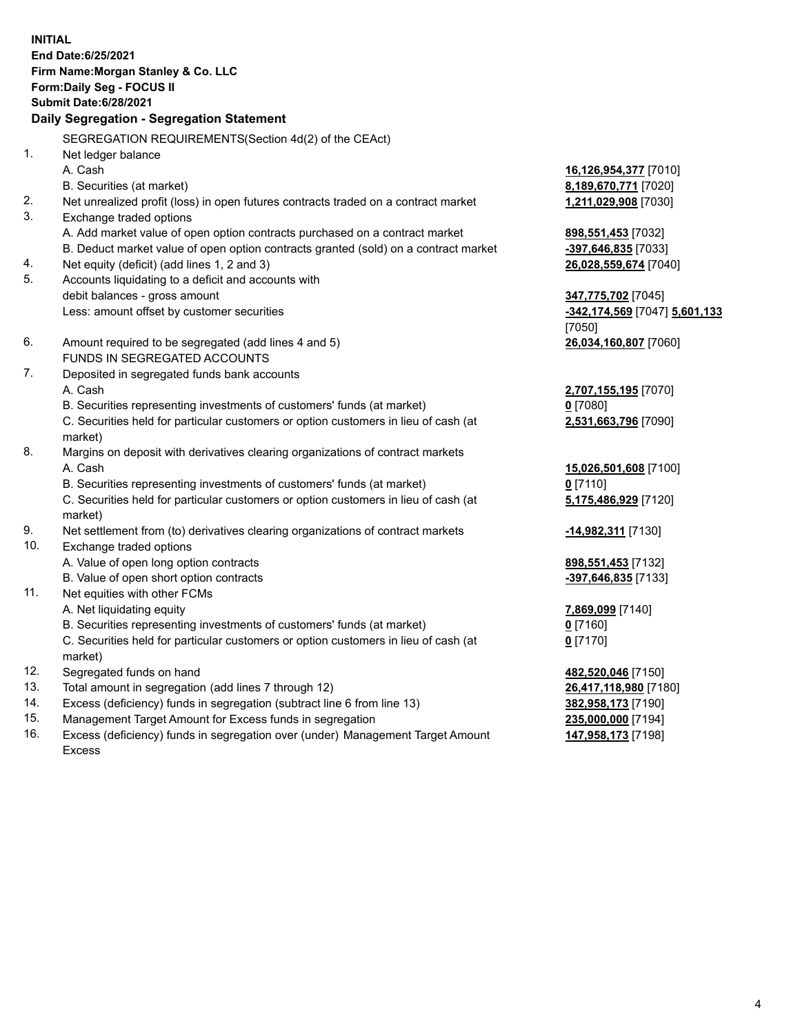**INITIAL End Date:6/25/2021 Firm Name:Morgan Stanley & Co. LLC Form:Daily Seg - FOCUS II Submit Date:6/28/2021 Daily Segregation - Segregation Statement** SEGREGATION REQUIREMENTS(Section 4d(2) of the CEAct) 1. Net ledger balance A. Cash **16,126,954,377** [7010] B. Securities (at market) **8,189,670,771** [7020] 2. Net unrealized profit (loss) in open futures contracts traded on a contract market **1,211,029,908** [7030] 3. Exchange traded options A. Add market value of open option contracts purchased on a contract market **898,551,453** [7032] B. Deduct market value of open option contracts granted (sold) on a contract market **-397,646,835** [7033] 4. Net equity (deficit) (add lines 1, 2 and 3) **26,028,559,674** [7040] 5. Accounts liquidating to a deficit and accounts with debit balances - gross amount **347,775,702** [7045] Less: amount offset by customer securities **-342,174,569** [7047] **5,601,133** [7050] 6. Amount required to be segregated (add lines 4 and 5) **26,034,160,807** [7060] FUNDS IN SEGREGATED ACCOUNTS 7. Deposited in segregated funds bank accounts A. Cash **2,707,155,195** [7070] B. Securities representing investments of customers' funds (at market) **0** [7080] C. Securities held for particular customers or option customers in lieu of cash (at market) **2,531,663,796** [7090] 8. Margins on deposit with derivatives clearing organizations of contract markets A. Cash **15,026,501,608** [7100] B. Securities representing investments of customers' funds (at market) **0** [7110] C. Securities held for particular customers or option customers in lieu of cash (at market) **5,175,486,929** [7120] 9. Net settlement from (to) derivatives clearing organizations of contract markets **-14,982,311** [7130] 10. Exchange traded options A. Value of open long option contracts **898,551,453** [7132] B. Value of open short option contracts **-397,646,835** [7133] 11. Net equities with other FCMs A. Net liquidating equity **7,869,099** [7140] B. Securities representing investments of customers' funds (at market) **0** [7160] C. Securities held for particular customers or option customers in lieu of cash (at market) **0** [7170] 12. Segregated funds on hand **482,520,046** [7150] 13. Total amount in segregation (add lines 7 through 12) **26,417,118,980** [7180] 14. Excess (deficiency) funds in segregation (subtract line 6 from line 13) **382,958,173** [7190] 15. Management Target Amount for Excess funds in segregation **235,000,000** [7194]

16. Excess (deficiency) funds in segregation over (under) Management Target Amount Excess

**147,958,173** [7198]